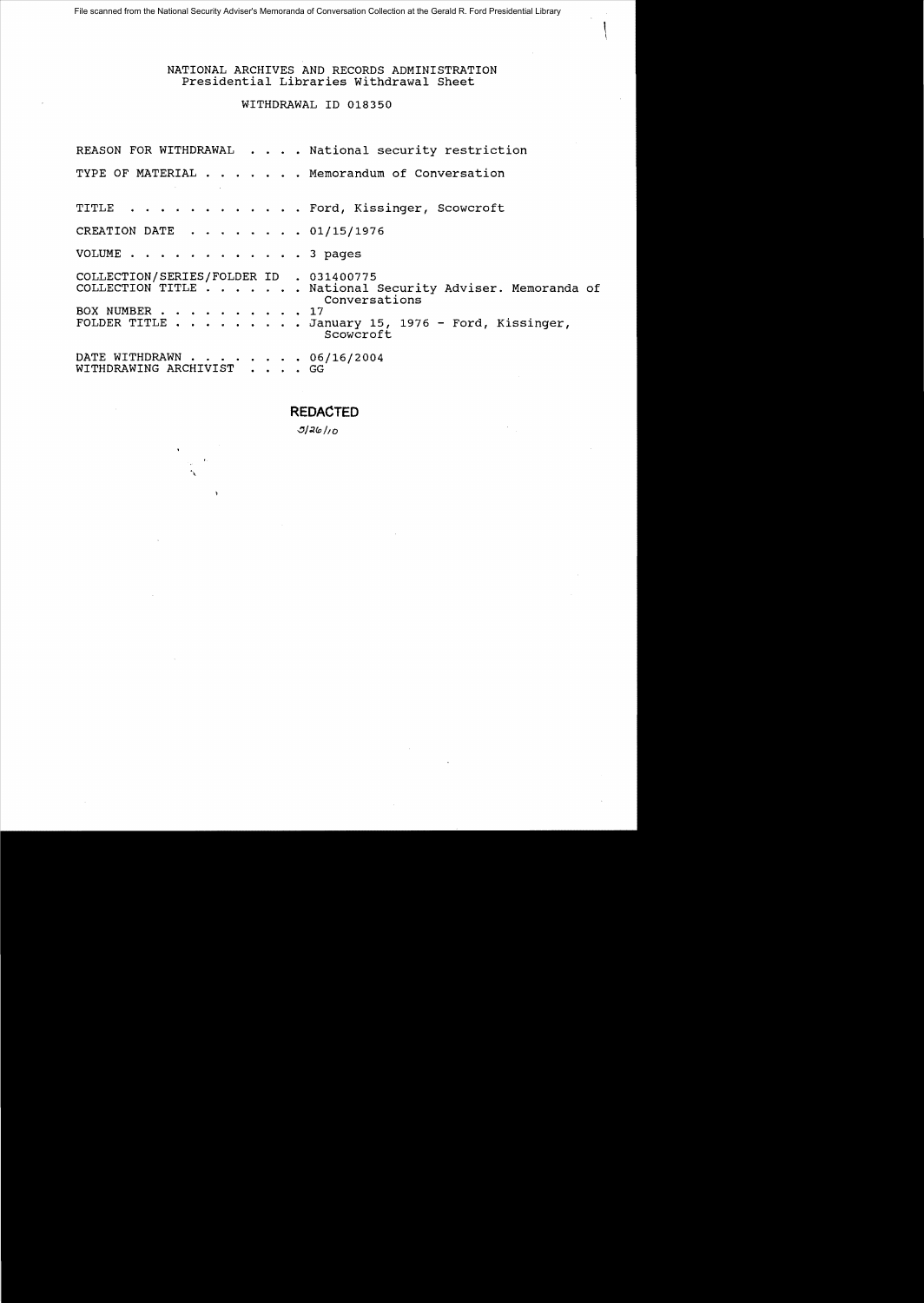# NATIONAL ARCHIVES AND RECORDS ADMINISTRATION Presidential Libraries withdrawal Sheet

# WITHDRAWAL 10 018350

| REASON FOR WITHDRAWAL National security restriction                                                                                                                                                    |
|--------------------------------------------------------------------------------------------------------------------------------------------------------------------------------------------------------|
| TYPE OF MATERIAL Memorandum of Conversation                                                                                                                                                            |
| TITLE Ford, Kissinger, Scowcroft                                                                                                                                                                       |
| CREATION DATE 01/15/1976                                                                                                                                                                               |
| VOLUME $\cdots$ $\cdots$ $\cdots$ $\cdots$ $\cdots$ $\cdots$ 3 pages                                                                                                                                   |
| COLLECTION/SERIES/FOLDER ID . 031400775<br>COLLECTION TITLE National Security Adviser. Memoranda of<br>Conversations<br>BOX NUMBER 17<br>FOLDER TITLE January 15, 1976 - Ford, Kissinger,<br>Scowcroft |
| DATE WITHDRAWN 06/16/2004<br>WITHDRAWING ARCHIVIST GG                                                                                                                                                  |

**REDACTED** 

 $3/26/10$ 

À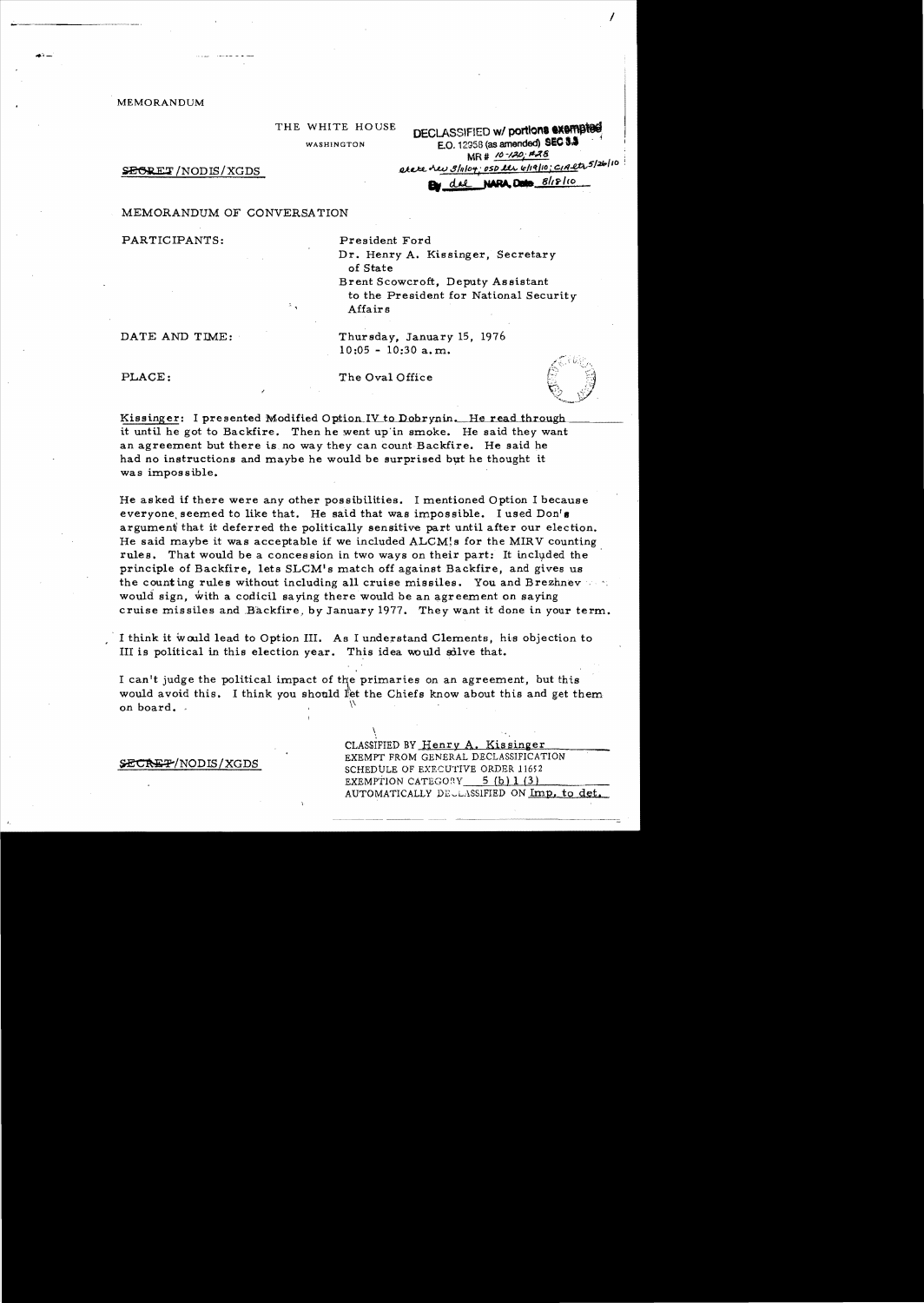**MEMORANDUM** 

| THE WHITE HOUSE |  |
|-----------------|--|
| WASHINGTON      |  |

**DECLASSIFIED w/ portions exempted** E.O. 12958 (as amended) SEC 3.3 MR # 10-120; #28 acce her sluloy; ost les 6/19/10; c1Aet 5/26/10

SEGRET/NODIS/XGDS

By die NARA Data 8/18/10

MEMORANDUM OF CONVERSATION

PARTICIPANTS:

President Ford Dr. Henry A. Kissinger, Secretary of State Brent Scowcroft, Deputy Assistant

to the President for National Security Affairs

DATE AND TIME:

SECREP/NODIS/XGDS

 $10:05 - 10:30$  a.m.

Thursday, January 15, 1976

PLACE:

The Oval Office

Kissinger: I presented Modified Option IV to Dobrynin. He read through it until he got to Backfire. Then he went up in smoke. He said they want an agreement but there is no way they can count Backfire. He said he had no instructions and maybe he would be surprised but he thought it was impossible.

He asked if there were any other possibilities. I mentioned Option I because everyone seemed to like that. He said that was impossible. I used Don's argument that it deferred the politically sensitive part until after our election. He said maybe it was acceptable if we included ALCM's for the MIRV counting rules. That would be a concession in two ways on their part: It included the principle of Backfire, lets SLCM's match off against Backfire, and gives us the counting rules without including all cruise missiles. You and Brezhnev would sign, with a codicil saying there would be an agreement on saying cruise missiles and Backfire, by January 1977. They want it done in your term.

I think it would lead to Option III. As I understand Clements, his objection to III is political in this election year. This idea would solve that.

I can't judge the political impact of the primaries on an agreement, but this would avoid this. I think you should let the Chiefs know about this and get them on board.

> CLASSIFIED BY Henry A. Kissinger EXEMPT FROM GENERAL DECLASSIFICATION SCHEDULE OF EXECUTIVE ORDER 11652 EXEMPTION CATEGORY 5 (b) 1 (3) AUTOMATICALLY DECLASSIFIED ON Imp. to det.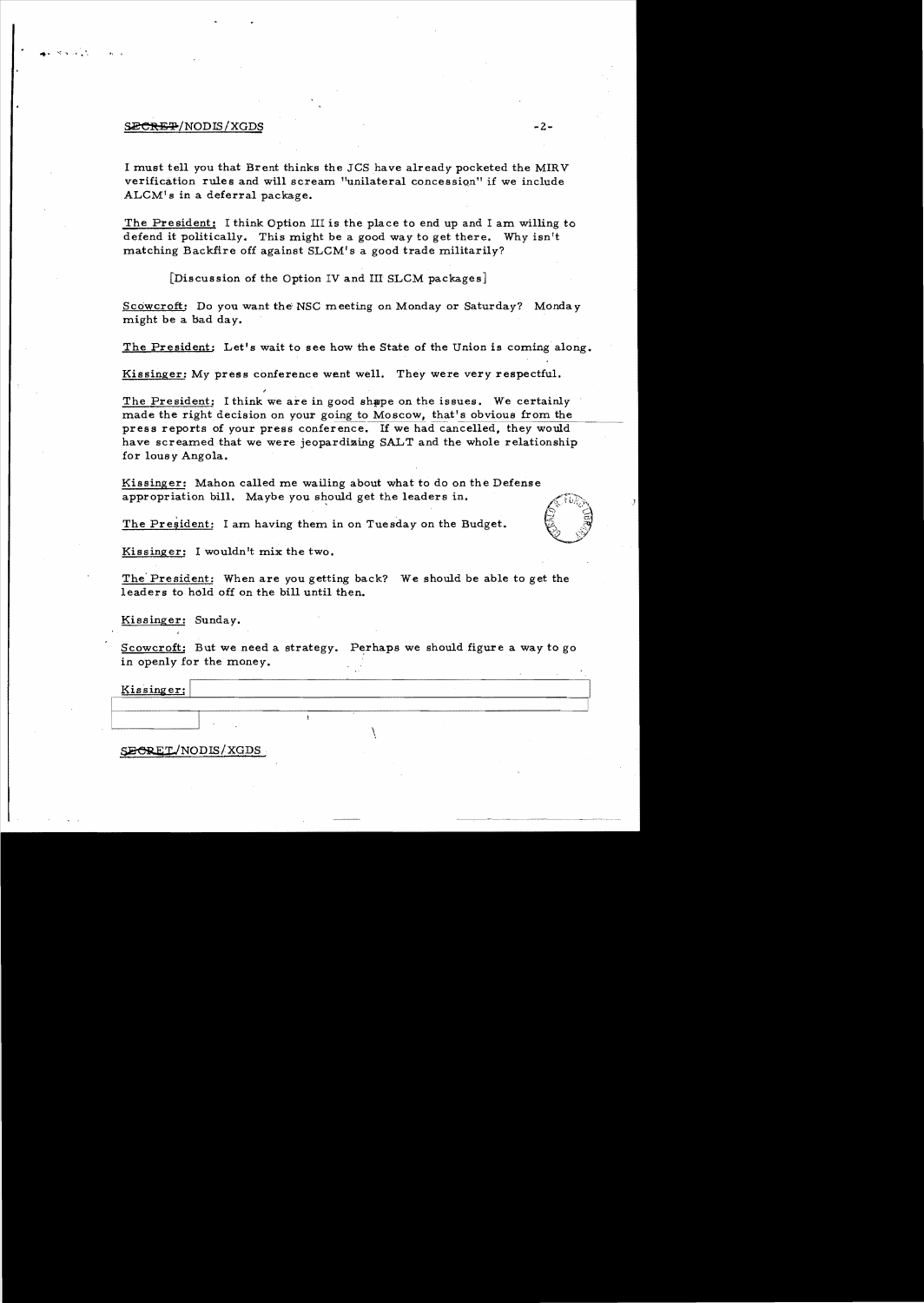#### $\overline{\text{SECHEP}}/ \text{NODIS} / \text{XGDS}$  -2-

**.....** ..-: '\ •• 1;'

I must tell you that Brent thinks the JCS have already pocketed the MIRV verification rules and will scream "unilateral concession" if we include ALCM's in a deferral package.

The President: I think Option III is the place to end up and I am willing to defend it politically. This might be a good way to get there. Why isn't matching Backfire off against SLCM's a good trade militarily?

[Discussion of the Option IV and III SLCM packages]

Scowcroft: Do you want the' NSC meeting on Monday or Saturday? Monday might be a bad day.

The President: Let's wait to see how the State of the Union is coming along.

Kissinger: My press conference went well. They were very respectful.

The President: I think we are in good shape on the issues. We certainly made the right decision on your going to Moscow, that's obvious from the press reports of your press conference. If we had cancelled, they would have screamed that we were jeopardizing SALT and the whole relationship for lousy Angola.

Kissinger: Mahon called me wailing about what to do on the Defense appropriation bill. Maybe you should get the leaders in.

The Pre§ident: I am having them in on Tuesday on the Budget.



Kissinger: I wouldn't mix the two.

The' President: When are you getting back? We should be able to get the leaders to hold off on the bill until then.

Kissinger: Sunday.

Scowcroft: But we need a strategy. Perhaps we should figure a way to go in openly for the money.

Kissinger:

SECRET/NODIS/XGDS

 $\vert$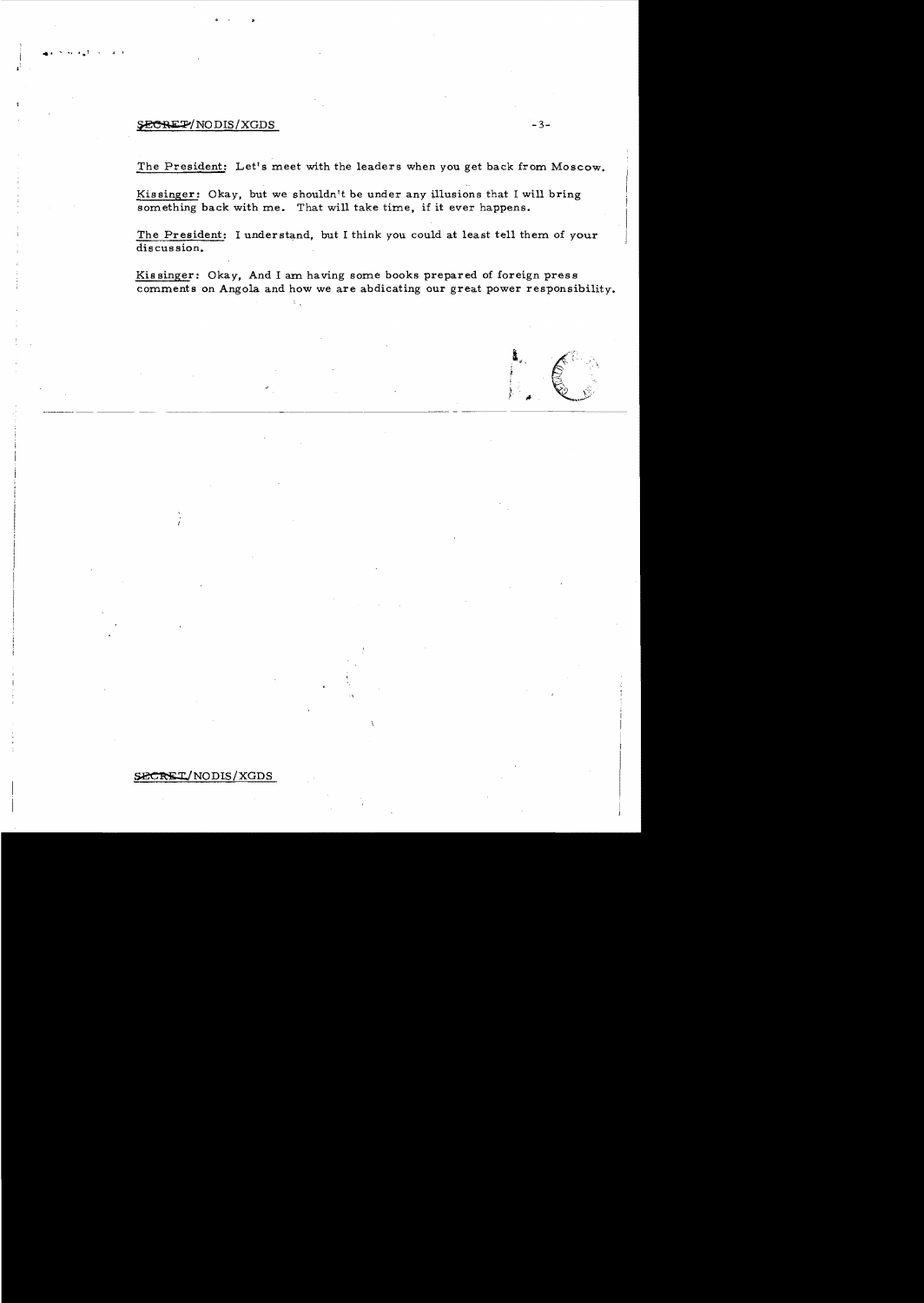# $SECR$   $\Gamma$   $\sim$  3-

-II" .. **.....'** • J <sup>t</sup>

The President: Let's meet with the leaders when you get back from Moscow.

Kissinger: Okay, but we shouldn't be under any illusions that I will bring something back with me. That will take time, if it ever happens.

The President: I understand, but I think you could at least tell them of your discussion.

Kissinger: Okay, And I am having some books prepared of foreign press comments on Angola and how we are abdicating our great power responsibility.

## SECRET/NODIS/XGDS